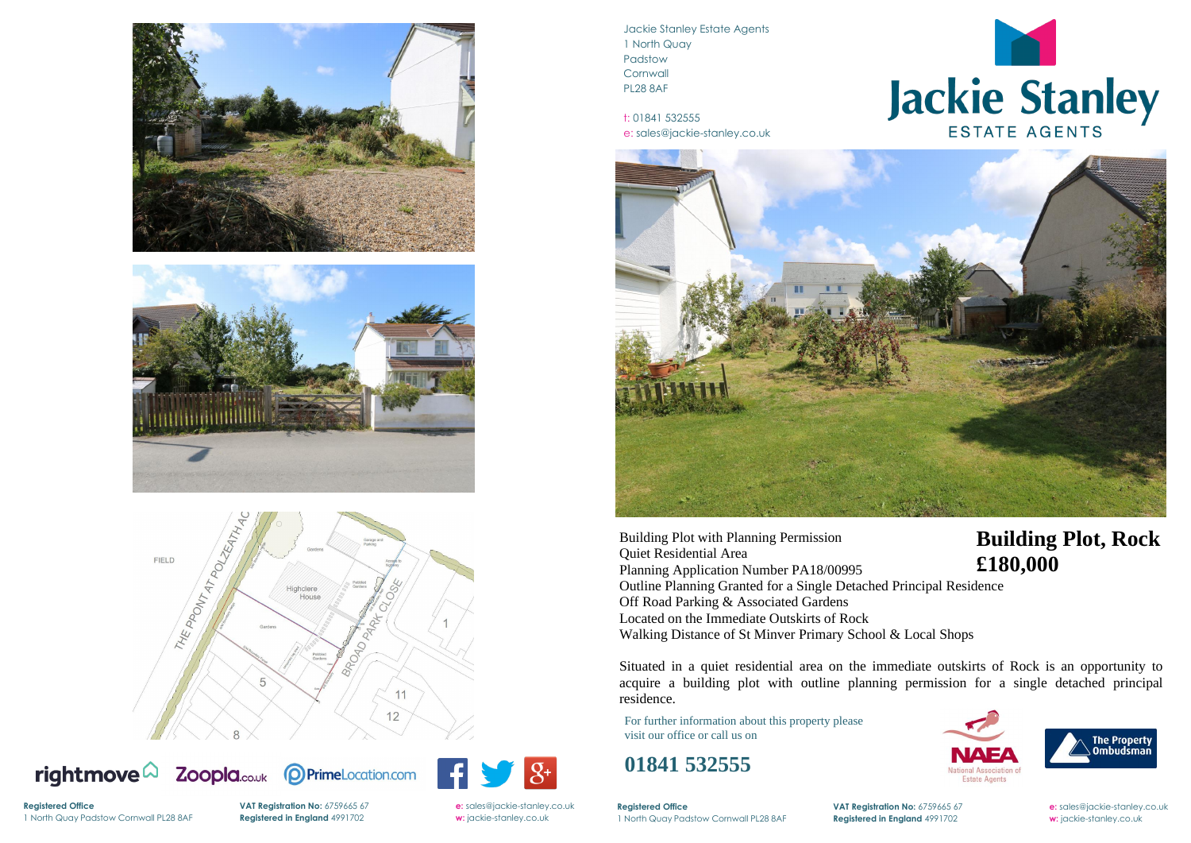





Zoopla.co.uk rightmove $\Omega$ 





Jackie Stanley Estate Agents 1 North Quay Padstow **Cornwall** PL28 8AF

t: 01841 532555 e: sales@jackie-stanley.co.uk



**Registered Office VAT Registration No:** 6759665 67 **e:** [sales@jackie-stanley.co.uk](mailto:sales@jackie-stanley.co.uk) 1 North Quay Padstow Cornwall PL28 8AF **Registered in England** 4991702 **w:** jackie-stanley.co.uk



For further information about this property please visit our office or call us on

## **01841 532555**

Building Plot with Planning Permission Quiet Residential Area Planning Application Number PA18/00995 Outline Planning Granted for a Single Detached Principal Residence Off Road Parking & Associated Gardens Located on the Immediate Outskirts of Rock Walking Distance of St Minver Primary School & Local Shops

**Registered Office** 1 North Quay Padstow Cornwall PL28 8AF **Registered in England** 4991702 **w:** jackie-stanley.co.uk

**VAT Registration No:** 6759665 67 **e:** [sales@jackie-stanley.co.uk](mailto:sales@jackie-stanley.co.uk)

Situated in a quiet residential area on the immediate outskirts of Rock is an opportunity to acquire a building plot with outline planning permission for a single detached principal residence.

## **Building Plot, Rock £180,000**